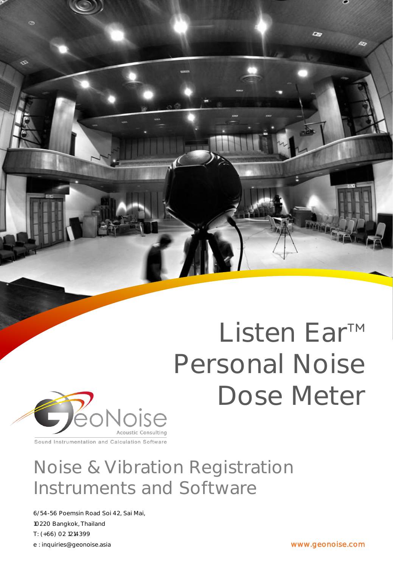

# Listen Ear<sup>™</sup> Personal Noise Dose Meter



Sound Instrumentation and Calculation Software

# Noise & Vibration Registration Instruments and Software

6/54-56 Poemsin Road Soi 42, Sai Mai, 10220 Bangkok, Thailand T: (+66) 02 1214399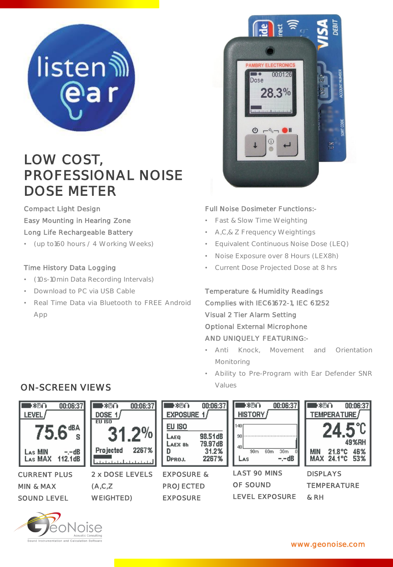

# LOW COST, PROFESSIONAL NOISE DOSE METER

Compact Light Design Easy Mounting in Hearing Zone Long Life Rechargeable Battery

• (up to160 hours / 4 Working Weeks)

# Time History Data Logging

- (10s-10min Data Recording Intervals)
- Download to PC via USB Cable
- Real Time Data via Bluetooth to FREE Android App



# Full Noise Dosimeter Functions:-

- Fast & Slow Time Weighting
- A,C,& Z Frequency Weightings
- Equivalent Continuous Noise Dose (LEQ)
- Noise Exposure over 8 Hours (LEX8h)
- Current Dose Projected Dose at 8 hrs

Temperature & Humidity Readings Complies with IEC61672-1, IEC 61252 Visual 2 Tier Alarm Setting Optional External Microphone AND UNIQUELY FEATURING:-

- Anti Knock, Movement and Orientation Monitoring
- Ability to Pre-Program with Ear Defender SNR



# ON-SCREEN VIEWS Values



www.geonoise.com